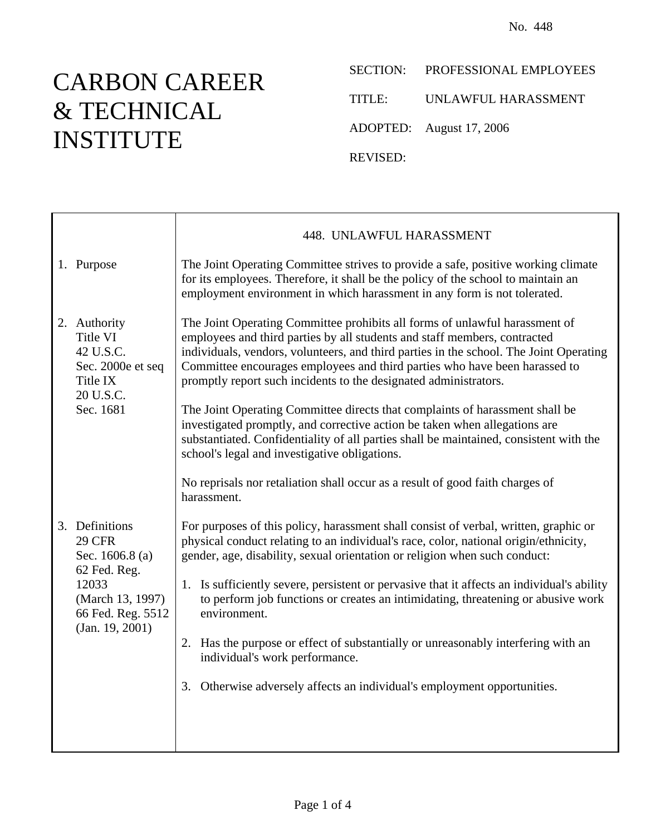## CARBON CAREER & TECHNICAL INSTITUTE

SECTION: PROFESSIONAL EMPLOYEES TITLE: UNLAWFUL HARASSMENT ADOPTED: August 17, 2006

REVISED:

|                                                                                                                                         | 448. UNLAWFUL HARASSMENT                                                                                                                                                                                                                                                                                                                                                                                                                                                                                                                                                                                                                                     |
|-----------------------------------------------------------------------------------------------------------------------------------------|--------------------------------------------------------------------------------------------------------------------------------------------------------------------------------------------------------------------------------------------------------------------------------------------------------------------------------------------------------------------------------------------------------------------------------------------------------------------------------------------------------------------------------------------------------------------------------------------------------------------------------------------------------------|
| 1. Purpose                                                                                                                              | The Joint Operating Committee strives to provide a safe, positive working climate<br>for its employees. Therefore, it shall be the policy of the school to maintain an<br>employment environment in which harassment in any form is not tolerated.                                                                                                                                                                                                                                                                                                                                                                                                           |
| 2. Authority<br>Title VI<br>42 U.S.C.<br>Sec. 2000e et seq<br>Title IX<br>20 U.S.C.<br>Sec. 1681                                        | The Joint Operating Committee prohibits all forms of unlawful harassment of<br>employees and third parties by all students and staff members, contracted<br>individuals, vendors, volunteers, and third parties in the school. The Joint Operating<br>Committee encourages employees and third parties who have been harassed to<br>promptly report such incidents to the designated administrators.<br>The Joint Operating Committee directs that complaints of harassment shall be<br>investigated promptly, and corrective action be taken when allegations are<br>substantiated. Confidentiality of all parties shall be maintained, consistent with the |
|                                                                                                                                         | school's legal and investigative obligations.<br>No reprisals nor retaliation shall occur as a result of good faith charges of<br>harassment.                                                                                                                                                                                                                                                                                                                                                                                                                                                                                                                |
| 3. Definitions<br><b>29 CFR</b><br>Sec. 1606.8 (a)<br>62 Fed. Reg.<br>12033<br>(March 13, 1997)<br>66 Fed. Reg. 5512<br>(Jan. 19, 2001) | For purposes of this policy, harassment shall consist of verbal, written, graphic or<br>physical conduct relating to an individual's race, color, national origin/ethnicity,<br>gender, age, disability, sexual orientation or religion when such conduct:                                                                                                                                                                                                                                                                                                                                                                                                   |
|                                                                                                                                         | Is sufficiently severe, persistent or pervasive that it affects an individual's ability<br>1.<br>to perform job functions or creates an intimidating, threatening or abusive work<br>environment.                                                                                                                                                                                                                                                                                                                                                                                                                                                            |
|                                                                                                                                         | 2. Has the purpose or effect of substantially or unreasonably interfering with an<br>individual's work performance.                                                                                                                                                                                                                                                                                                                                                                                                                                                                                                                                          |
|                                                                                                                                         | 3. Otherwise adversely affects an individual's employment opportunities.                                                                                                                                                                                                                                                                                                                                                                                                                                                                                                                                                                                     |
|                                                                                                                                         |                                                                                                                                                                                                                                                                                                                                                                                                                                                                                                                                                                                                                                                              |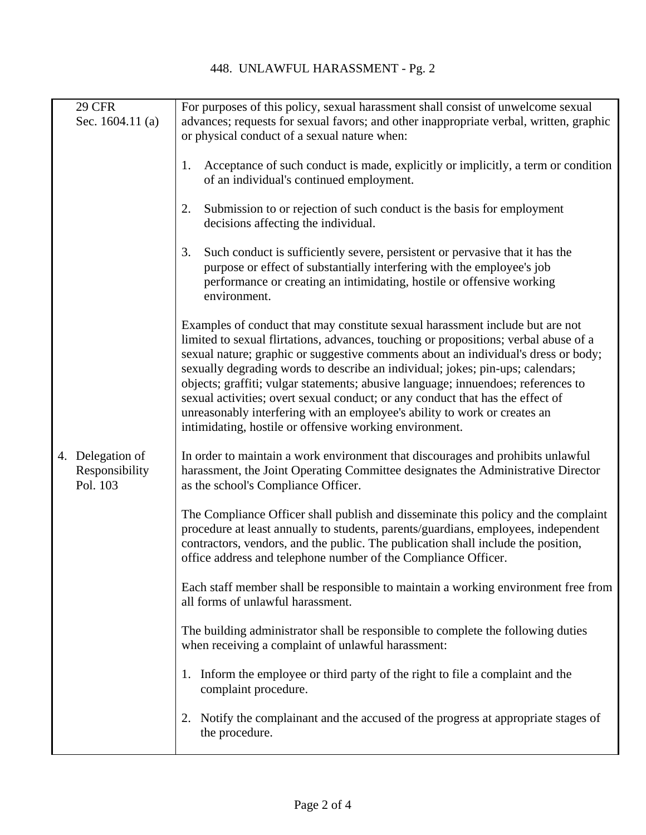| <b>29 CFR</b>                                  | For purposes of this policy, sexual harassment shall consist of unwelcome sexual                                                                                                                                                                                                                                                                                                                                                                                                                                                                                                                                                                             |
|------------------------------------------------|--------------------------------------------------------------------------------------------------------------------------------------------------------------------------------------------------------------------------------------------------------------------------------------------------------------------------------------------------------------------------------------------------------------------------------------------------------------------------------------------------------------------------------------------------------------------------------------------------------------------------------------------------------------|
| Sec. $1604.11$ (a)                             | advances; requests for sexual favors; and other inappropriate verbal, written, graphic<br>or physical conduct of a sexual nature when:                                                                                                                                                                                                                                                                                                                                                                                                                                                                                                                       |
|                                                | Acceptance of such conduct is made, explicitly or implicitly, a term or condition<br>1.<br>of an individual's continued employment.                                                                                                                                                                                                                                                                                                                                                                                                                                                                                                                          |
|                                                | 2.<br>Submission to or rejection of such conduct is the basis for employment<br>decisions affecting the individual.                                                                                                                                                                                                                                                                                                                                                                                                                                                                                                                                          |
|                                                | 3.<br>Such conduct is sufficiently severe, persistent or pervasive that it has the<br>purpose or effect of substantially interfering with the employee's job<br>performance or creating an intimidating, hostile or offensive working<br>environment.                                                                                                                                                                                                                                                                                                                                                                                                        |
|                                                | Examples of conduct that may constitute sexual harassment include but are not<br>limited to sexual flirtations, advances, touching or propositions; verbal abuse of a<br>sexual nature; graphic or suggestive comments about an individual's dress or body;<br>sexually degrading words to describe an individual; jokes; pin-ups; calendars;<br>objects; graffiti; vulgar statements; abusive language; innuendoes; references to<br>sexual activities; overt sexual conduct; or any conduct that has the effect of<br>unreasonably interfering with an employee's ability to work or creates an<br>intimidating, hostile or offensive working environment. |
| 4. Delegation of<br>Responsibility<br>Pol. 103 | In order to maintain a work environment that discourages and prohibits unlawful<br>harassment, the Joint Operating Committee designates the Administrative Director<br>as the school's Compliance Officer.                                                                                                                                                                                                                                                                                                                                                                                                                                                   |
|                                                | The Compliance Officer shall publish and disseminate this policy and the complaint<br>procedure at least annually to students, parents/guardians, employees, independent<br>contractors, vendors, and the public. The publication shall include the position,<br>office address and telephone number of the Compliance Officer.                                                                                                                                                                                                                                                                                                                              |
|                                                | Each staff member shall be responsible to maintain a working environment free from<br>all forms of unlawful harassment.                                                                                                                                                                                                                                                                                                                                                                                                                                                                                                                                      |
|                                                | The building administrator shall be responsible to complete the following duties<br>when receiving a complaint of unlawful harassment:                                                                                                                                                                                                                                                                                                                                                                                                                                                                                                                       |
|                                                | 1. Inform the employee or third party of the right to file a complaint and the<br>complaint procedure.                                                                                                                                                                                                                                                                                                                                                                                                                                                                                                                                                       |
|                                                | Notify the complainant and the accused of the progress at appropriate stages of<br>2.<br>the procedure.                                                                                                                                                                                                                                                                                                                                                                                                                                                                                                                                                      |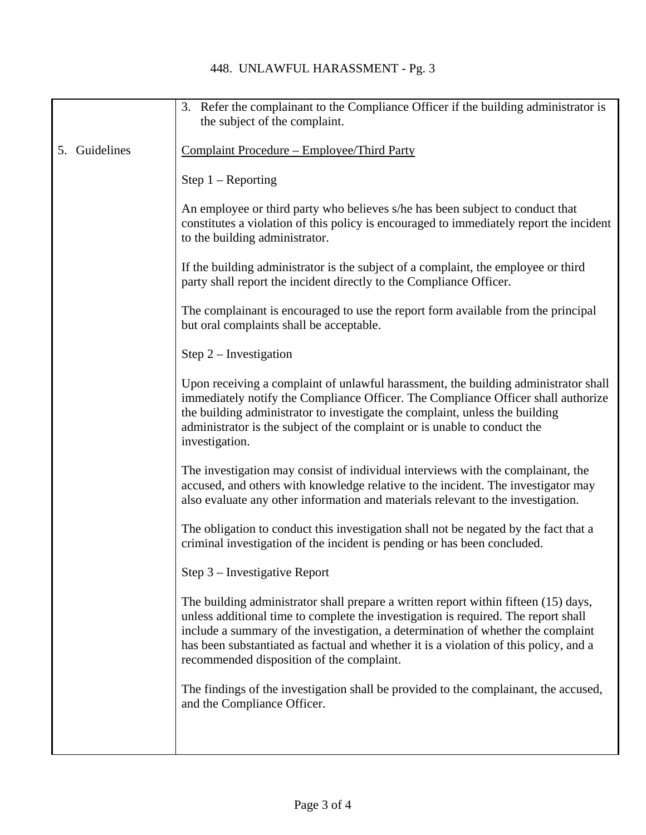## 448. UNLAWFUL HARASSMENT - Pg. 3

|                  | 3. Refer the complainant to the Compliance Officer if the building administrator is<br>the subject of the complaint.                                                                                                                                                                                                                                                                                |
|------------------|-----------------------------------------------------------------------------------------------------------------------------------------------------------------------------------------------------------------------------------------------------------------------------------------------------------------------------------------------------------------------------------------------------|
|                  |                                                                                                                                                                                                                                                                                                                                                                                                     |
| Guidelines<br>5. | Complaint Procedure – Employee/Third Party                                                                                                                                                                                                                                                                                                                                                          |
|                  | Step $1 -$ Reporting                                                                                                                                                                                                                                                                                                                                                                                |
|                  | An employee or third party who believes s/he has been subject to conduct that<br>constitutes a violation of this policy is encouraged to immediately report the incident<br>to the building administrator.                                                                                                                                                                                          |
|                  | If the building administrator is the subject of a complaint, the employee or third<br>party shall report the incident directly to the Compliance Officer.                                                                                                                                                                                                                                           |
|                  | The complainant is encouraged to use the report form available from the principal<br>but oral complaints shall be acceptable.                                                                                                                                                                                                                                                                       |
|                  | Step $2$ – Investigation                                                                                                                                                                                                                                                                                                                                                                            |
|                  | Upon receiving a complaint of unlawful harassment, the building administrator shall<br>immediately notify the Compliance Officer. The Compliance Officer shall authorize<br>the building administrator to investigate the complaint, unless the building<br>administrator is the subject of the complaint or is unable to conduct the<br>investigation.                                             |
|                  | The investigation may consist of individual interviews with the complainant, the<br>accused, and others with knowledge relative to the incident. The investigator may<br>also evaluate any other information and materials relevant to the investigation.                                                                                                                                           |
|                  | The obligation to conduct this investigation shall not be negated by the fact that a<br>criminal investigation of the incident is pending or has been concluded.                                                                                                                                                                                                                                    |
|                  | Step 3 - Investigative Report                                                                                                                                                                                                                                                                                                                                                                       |
|                  | The building administrator shall prepare a written report within fifteen (15) days,<br>unless additional time to complete the investigation is required. The report shall<br>include a summary of the investigation, a determination of whether the complaint<br>has been substantiated as factual and whether it is a violation of this policy, and a<br>recommended disposition of the complaint. |
|                  | The findings of the investigation shall be provided to the complainant, the accused,<br>and the Compliance Officer.                                                                                                                                                                                                                                                                                 |
|                  |                                                                                                                                                                                                                                                                                                                                                                                                     |